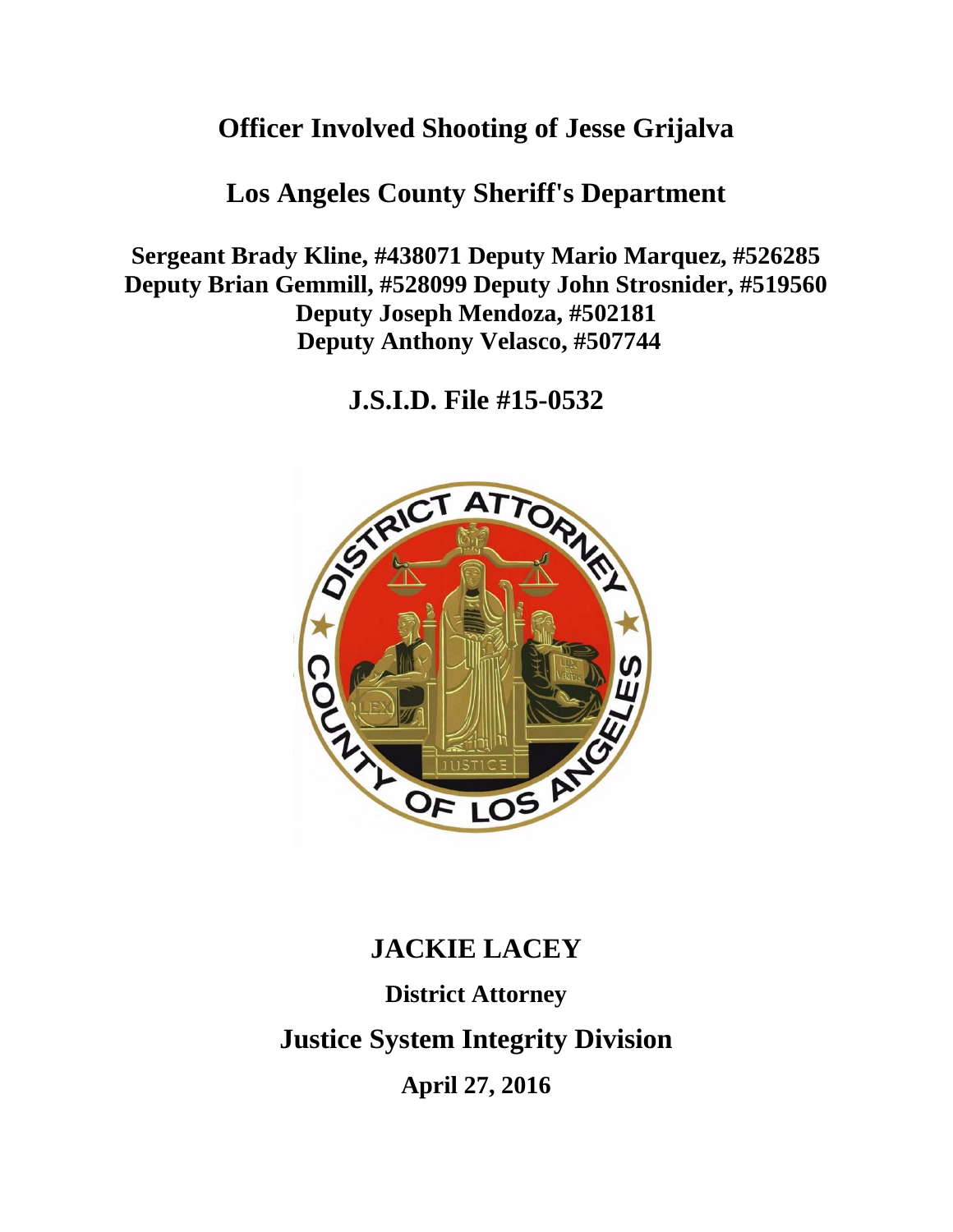# **Officer Involved Shooting of Jesse Grijalva**

## **Los Angeles County Sheriff's Department**

**Sergeant Brady Kline, #438071 Deputy Mario Marquez, #526285 Deputy Brian Gemmill, #528099 Deputy John Strosnider, #519560 Deputy Joseph Mendoza, #502181 Deputy Anthony Velasco, #507744**

**J.S.I.D. File #15-0532**



# **JACKIE LACEY District Attorney Justice System Integrity Division April 27, 2016**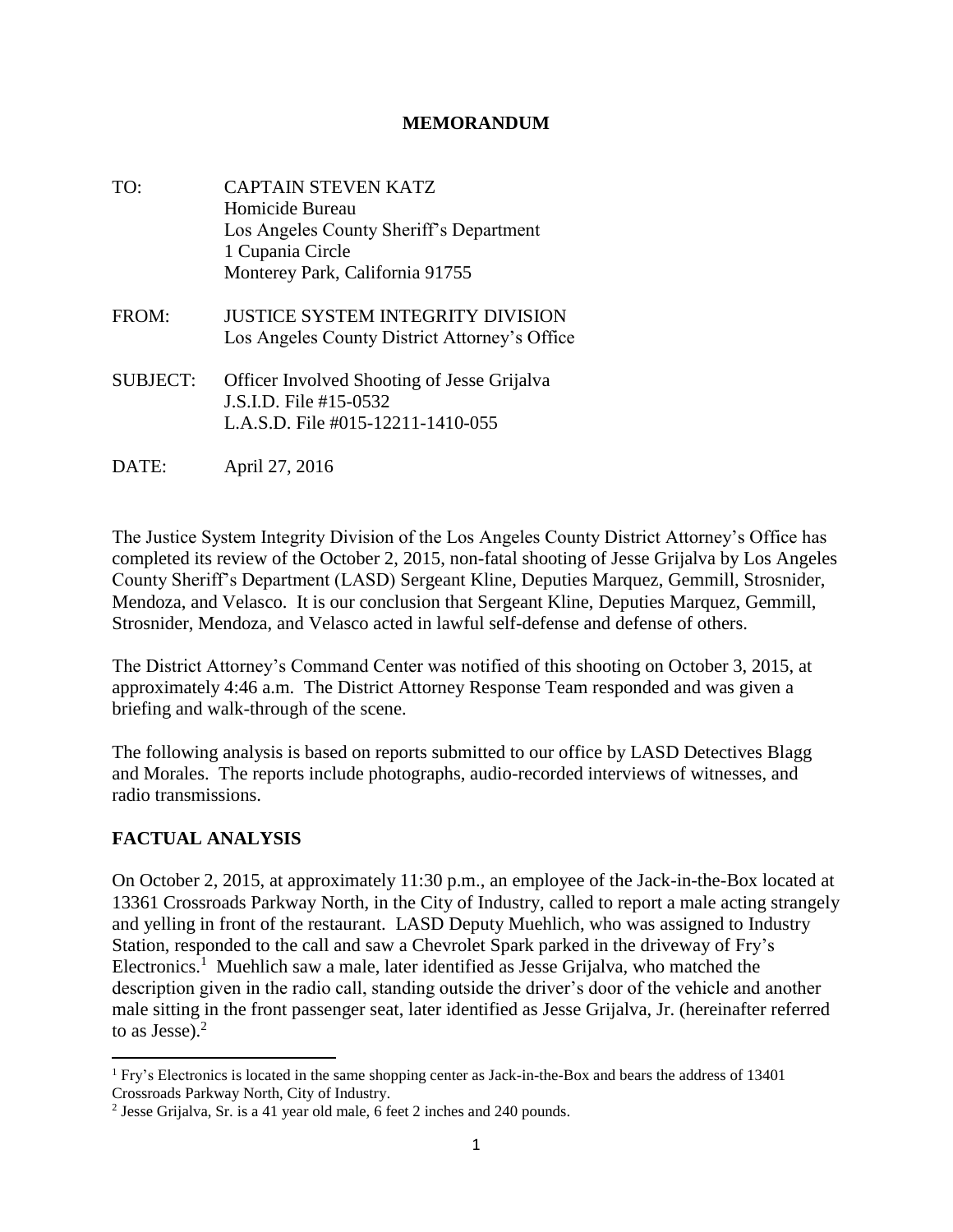#### **MEMORANDUM**

- TO: CAPTAIN STEVEN KATZ Homicide Bureau Los Angeles County Sheriff's Department 1 Cupania Circle Monterey Park, California 91755 FROM: JUSTICE SYSTEM INTEGRITY DIVISION
- SUBJECT: Officer Involved Shooting of Jesse Grijalva J.S.I.D. File #15-0532 L.A.S.D. File #015-12211-1410-055

Los Angeles County District Attorney's Office

DATE: April 27, 2016

The Justice System Integrity Division of the Los Angeles County District Attorney's Office has completed its review of the October 2, 2015, non-fatal shooting of Jesse Grijalva by Los Angeles County Sheriff's Department (LASD) Sergeant Kline, Deputies Marquez, Gemmill, Strosnider, Mendoza, and Velasco. It is our conclusion that Sergeant Kline, Deputies Marquez, Gemmill, Strosnider, Mendoza, and Velasco acted in lawful self-defense and defense of others.

The District Attorney's Command Center was notified of this shooting on October 3, 2015, at approximately 4:46 a.m. The District Attorney Response Team responded and was given a briefing and walk-through of the scene.

The following analysis is based on reports submitted to our office by LASD Detectives Blagg and Morales. The reports include photographs, audio-recorded interviews of witnesses, and radio transmissions.

## **FACTUAL ANALYSIS**

On October 2, 2015, at approximately 11:30 p.m., an employee of the Jack-in-the-Box located at 13361 Crossroads Parkway North, in the City of Industry, called to report a male acting strangely and yelling in front of the restaurant. LASD Deputy Muehlich, who was assigned to Industry Station, responded to the call and saw a Chevrolet Spark parked in the driveway of Fry's Electronics.<sup>1</sup> Muehlich saw a male, later identified as Jesse Grijalva, who matched the description given in the radio call, standing outside the driver's door of the vehicle and another male sitting in the front passenger seat, later identified as Jesse Grijalva, Jr. (hereinafter referred to as Jesse). $<sup>2</sup>$ </sup>

 $\overline{\phantom{a}}$ <sup>1</sup> Fry's Electronics is located in the same shopping center as Jack-in-the-Box and bears the address of 13401 Crossroads Parkway North, City of Industry.

<sup>&</sup>lt;sup>2</sup> Jesse Grijalva, Sr. is a 41 year old male, 6 feet 2 inches and 240 pounds.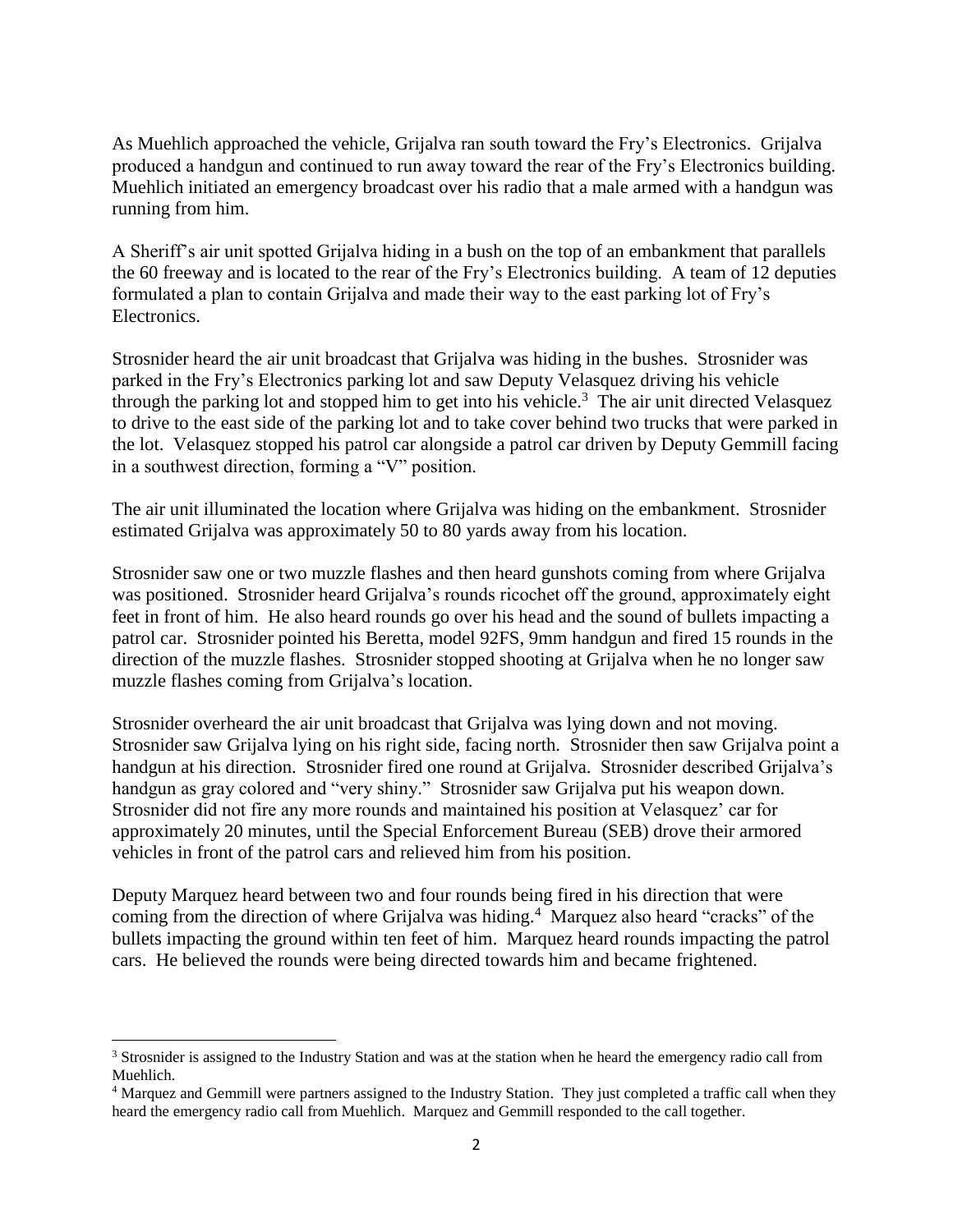As Muehlich approached the vehicle, Grijalva ran south toward the Fry's Electronics. Grijalva produced a handgun and continued to run away toward the rear of the Fry's Electronics building. Muehlich initiated an emergency broadcast over his radio that a male armed with a handgun was running from him.

A Sheriff's air unit spotted Grijalva hiding in a bush on the top of an embankment that parallels the 60 freeway and is located to the rear of the Fry's Electronics building. A team of 12 deputies formulated a plan to contain Grijalva and made their way to the east parking lot of Fry's Electronics.

Strosnider heard the air unit broadcast that Grijalva was hiding in the bushes. Strosnider was parked in the Fry's Electronics parking lot and saw Deputy Velasquez driving his vehicle through the parking lot and stopped him to get into his vehicle.<sup>3</sup> The air unit directed Velasquez to drive to the east side of the parking lot and to take cover behind two trucks that were parked in the lot. Velasquez stopped his patrol car alongside a patrol car driven by Deputy Gemmill facing in a southwest direction, forming a "V" position.

The air unit illuminated the location where Grijalva was hiding on the embankment. Strosnider estimated Grijalva was approximately 50 to 80 yards away from his location.

Strosnider saw one or two muzzle flashes and then heard gunshots coming from where Grijalva was positioned. Strosnider heard Grijalva's rounds ricochet off the ground, approximately eight feet in front of him. He also heard rounds go over his head and the sound of bullets impacting a patrol car. Strosnider pointed his Beretta, model 92FS, 9mm handgun and fired 15 rounds in the direction of the muzzle flashes. Strosnider stopped shooting at Grijalva when he no longer saw muzzle flashes coming from Grijalva's location.

Strosnider overheard the air unit broadcast that Grijalva was lying down and not moving. Strosnider saw Grijalva lying on his right side, facing north. Strosnider then saw Grijalva point a handgun at his direction. Strosnider fired one round at Grijalva. Strosnider described Grijalva's handgun as gray colored and "very shiny." Strosnider saw Grijalva put his weapon down. Strosnider did not fire any more rounds and maintained his position at Velasquez' car for approximately 20 minutes, until the Special Enforcement Bureau (SEB) drove their armored vehicles in front of the patrol cars and relieved him from his position.

Deputy Marquez heard between two and four rounds being fired in his direction that were coming from the direction of where Grijalva was hiding.<sup>4</sup> Marquez also heard "cracks" of the bullets impacting the ground within ten feet of him. Marquez heard rounds impacting the patrol cars. He believed the rounds were being directed towards him and became frightened.

 $\overline{\phantom{a}}$ 

<sup>&</sup>lt;sup>3</sup> Strosnider is assigned to the Industry Station and was at the station when he heard the emergency radio call from Muehlich.

<sup>4</sup> Marquez and Gemmill were partners assigned to the Industry Station. They just completed a traffic call when they heard the emergency radio call from Muehlich. Marquez and Gemmill responded to the call together.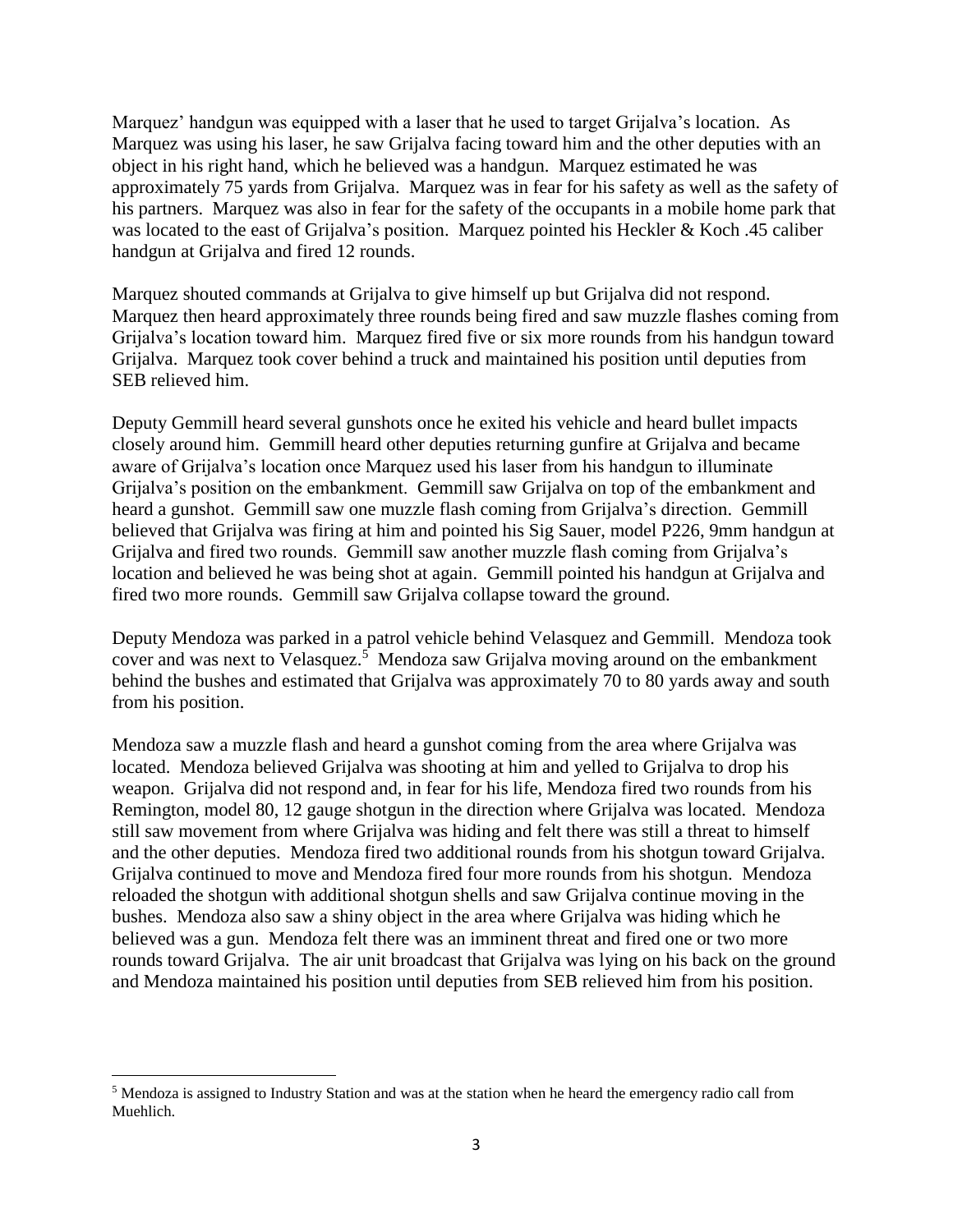Marquez' handgun was equipped with a laser that he used to target Grijalva's location. As Marquez was using his laser, he saw Grijalva facing toward him and the other deputies with an object in his right hand, which he believed was a handgun. Marquez estimated he was approximately 75 yards from Grijalva. Marquez was in fear for his safety as well as the safety of his partners. Marquez was also in fear for the safety of the occupants in a mobile home park that was located to the east of Grijalva's position. Marquez pointed his Heckler & Koch .45 caliber handgun at Grijalva and fired 12 rounds.

Marquez shouted commands at Grijalva to give himself up but Grijalva did not respond. Marquez then heard approximately three rounds being fired and saw muzzle flashes coming from Grijalva's location toward him. Marquez fired five or six more rounds from his handgun toward Grijalva. Marquez took cover behind a truck and maintained his position until deputies from SEB relieved him.

Deputy Gemmill heard several gunshots once he exited his vehicle and heard bullet impacts closely around him. Gemmill heard other deputies returning gunfire at Grijalva and became aware of Grijalva's location once Marquez used his laser from his handgun to illuminate Grijalva's position on the embankment. Gemmill saw Grijalva on top of the embankment and heard a gunshot. Gemmill saw one muzzle flash coming from Grijalva's direction. Gemmill believed that Grijalva was firing at him and pointed his Sig Sauer, model P226, 9mm handgun at Grijalva and fired two rounds. Gemmill saw another muzzle flash coming from Grijalva's location and believed he was being shot at again. Gemmill pointed his handgun at Grijalva and fired two more rounds. Gemmill saw Grijalva collapse toward the ground.

Deputy Mendoza was parked in a patrol vehicle behind Velasquez and Gemmill. Mendoza took cover and was next to Velasquez.<sup>5</sup> Mendoza saw Grijalva moving around on the embankment behind the bushes and estimated that Grijalva was approximately 70 to 80 yards away and south from his position.

Mendoza saw a muzzle flash and heard a gunshot coming from the area where Grijalva was located. Mendoza believed Grijalva was shooting at him and yelled to Grijalva to drop his weapon. Grijalva did not respond and, in fear for his life, Mendoza fired two rounds from his Remington, model 80, 12 gauge shotgun in the direction where Grijalva was located. Mendoza still saw movement from where Grijalva was hiding and felt there was still a threat to himself and the other deputies. Mendoza fired two additional rounds from his shotgun toward Grijalva. Grijalva continued to move and Mendoza fired four more rounds from his shotgun. Mendoza reloaded the shotgun with additional shotgun shells and saw Grijalva continue moving in the bushes. Mendoza also saw a shiny object in the area where Grijalva was hiding which he believed was a gun. Mendoza felt there was an imminent threat and fired one or two more rounds toward Grijalva. The air unit broadcast that Grijalva was lying on his back on the ground and Mendoza maintained his position until deputies from SEB relieved him from his position.

 $\overline{\phantom{a}}$ 

<sup>5</sup> Mendoza is assigned to Industry Station and was at the station when he heard the emergency radio call from Muehlich.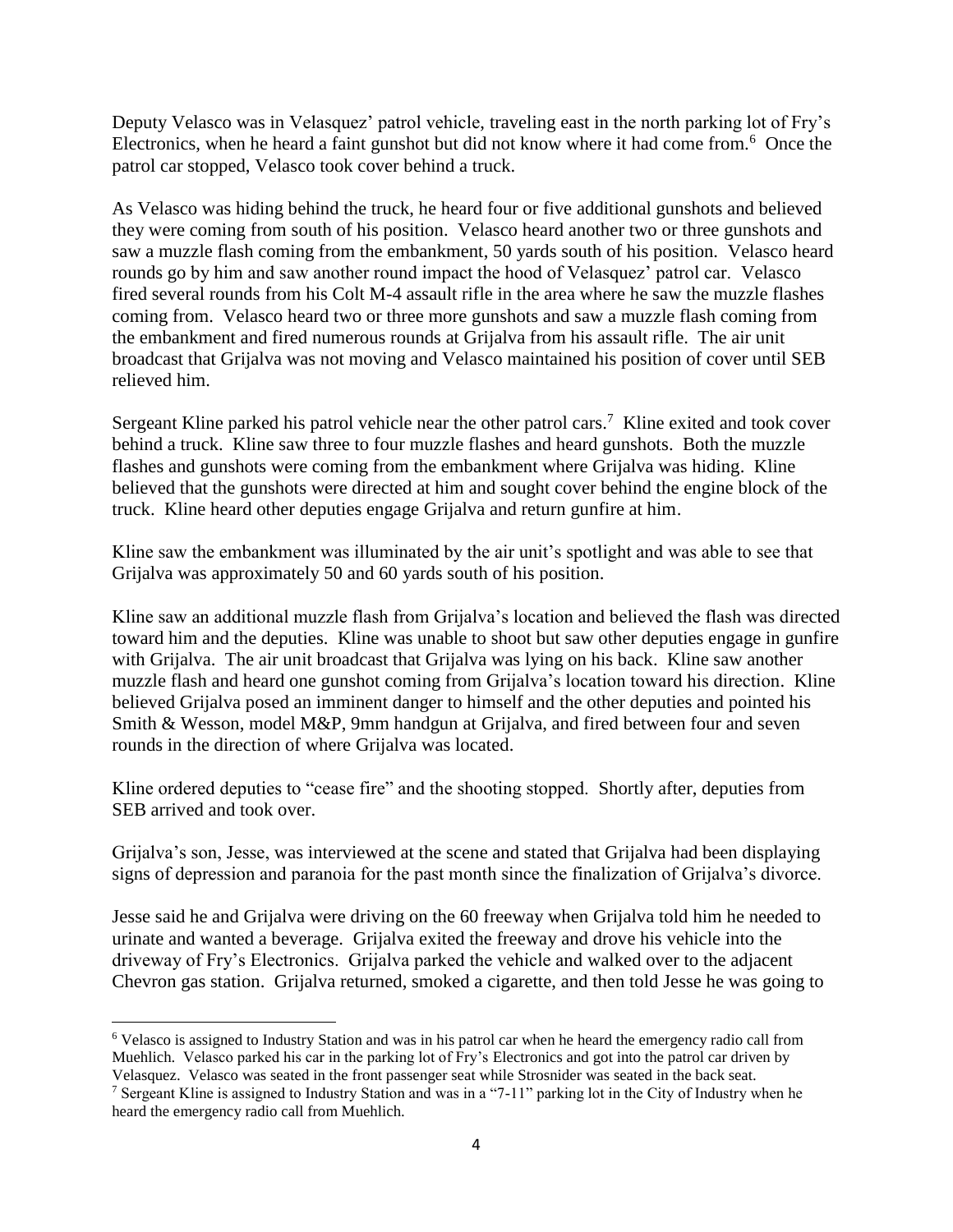Deputy Velasco was in Velasquez' patrol vehicle, traveling east in the north parking lot of Fry's Electronics, when he heard a faint gunshot but did not know where it had come from.<sup>6</sup> Once the patrol car stopped, Velasco took cover behind a truck.

As Velasco was hiding behind the truck, he heard four or five additional gunshots and believed they were coming from south of his position. Velasco heard another two or three gunshots and saw a muzzle flash coming from the embankment, 50 yards south of his position. Velasco heard rounds go by him and saw another round impact the hood of Velasquez' patrol car. Velasco fired several rounds from his Colt M-4 assault rifle in the area where he saw the muzzle flashes coming from. Velasco heard two or three more gunshots and saw a muzzle flash coming from the embankment and fired numerous rounds at Grijalva from his assault rifle. The air unit broadcast that Grijalva was not moving and Velasco maintained his position of cover until SEB relieved him.

Sergeant Kline parked his patrol vehicle near the other patrol cars.<sup>7</sup> Kline exited and took cover behind a truck. Kline saw three to four muzzle flashes and heard gunshots. Both the muzzle flashes and gunshots were coming from the embankment where Grijalva was hiding. Kline believed that the gunshots were directed at him and sought cover behind the engine block of the truck. Kline heard other deputies engage Grijalva and return gunfire at him.

Kline saw the embankment was illuminated by the air unit's spotlight and was able to see that Grijalva was approximately 50 and 60 yards south of his position.

Kline saw an additional muzzle flash from Grijalva's location and believed the flash was directed toward him and the deputies. Kline was unable to shoot but saw other deputies engage in gunfire with Grijalva. The air unit broadcast that Grijalva was lying on his back. Kline saw another muzzle flash and heard one gunshot coming from Grijalva's location toward his direction. Kline believed Grijalva posed an imminent danger to himself and the other deputies and pointed his Smith & Wesson, model M&P, 9mm handgun at Grijalva, and fired between four and seven rounds in the direction of where Grijalva was located.

Kline ordered deputies to "cease fire" and the shooting stopped. Shortly after, deputies from SEB arrived and took over.

Grijalva's son, Jesse, was interviewed at the scene and stated that Grijalva had been displaying signs of depression and paranoia for the past month since the finalization of Grijalva's divorce.

Jesse said he and Grijalva were driving on the 60 freeway when Grijalva told him he needed to urinate and wanted a beverage. Grijalva exited the freeway and drove his vehicle into the driveway of Fry's Electronics. Grijalva parked the vehicle and walked over to the adjacent Chevron gas station. Grijalva returned, smoked a cigarette, and then told Jesse he was going to

 $\overline{a}$ <sup>6</sup> Velasco is assigned to Industry Station and was in his patrol car when he heard the emergency radio call from Muehlich. Velasco parked his car in the parking lot of Fry's Electronics and got into the patrol car driven by Velasquez. Velasco was seated in the front passenger seat while Strosnider was seated in the back seat.

<sup>7</sup> Sergeant Kline is assigned to Industry Station and was in a "7-11" parking lot in the City of Industry when he heard the emergency radio call from Muehlich.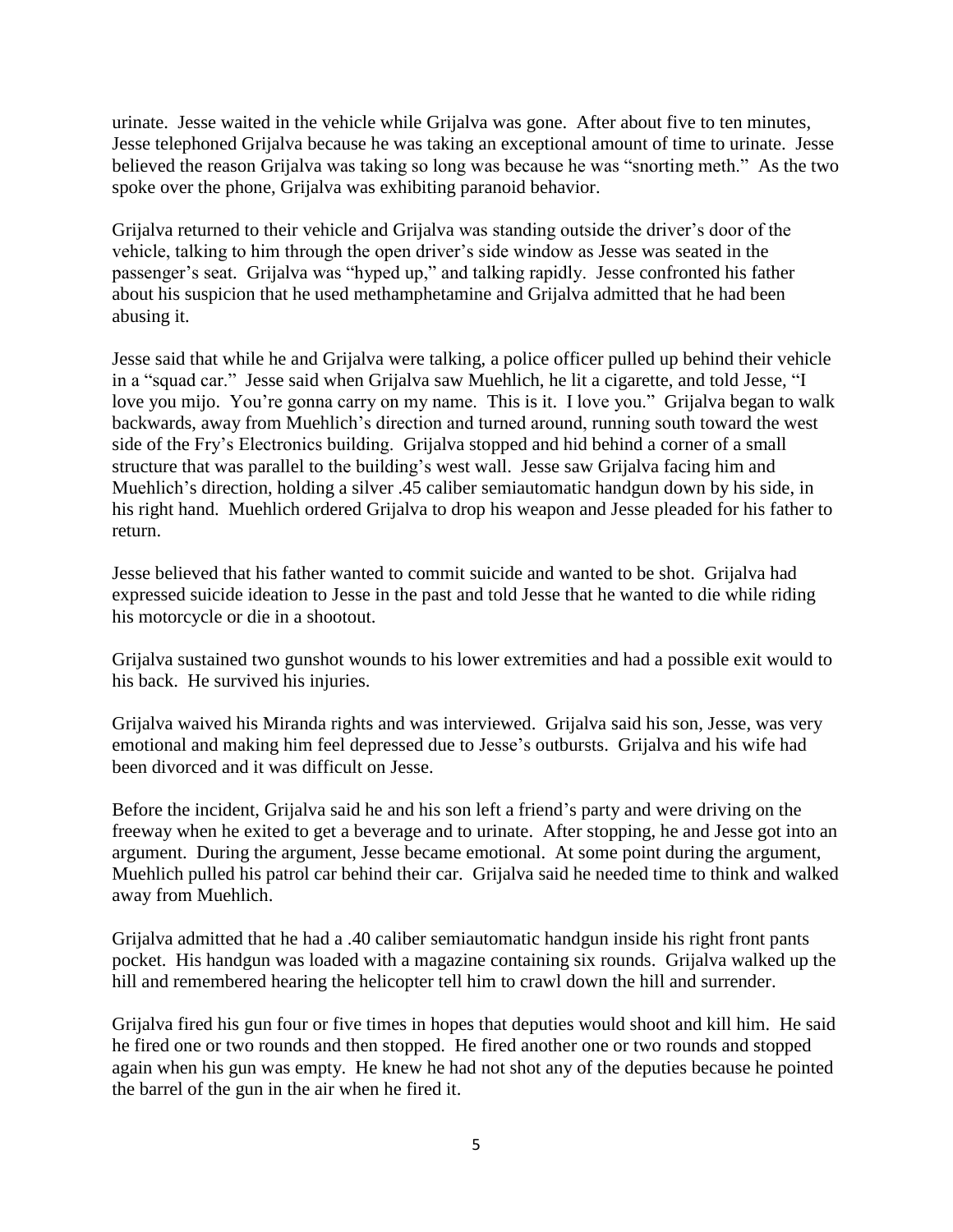urinate. Jesse waited in the vehicle while Grijalva was gone. After about five to ten minutes, Jesse telephoned Grijalva because he was taking an exceptional amount of time to urinate. Jesse believed the reason Grijalva was taking so long was because he was "snorting meth." As the two spoke over the phone, Grijalva was exhibiting paranoid behavior.

Grijalva returned to their vehicle and Grijalva was standing outside the driver's door of the vehicle, talking to him through the open driver's side window as Jesse was seated in the passenger's seat. Grijalva was "hyped up," and talking rapidly. Jesse confronted his father about his suspicion that he used methamphetamine and Grijalva admitted that he had been abusing it.

Jesse said that while he and Grijalva were talking, a police officer pulled up behind their vehicle in a "squad car." Jesse said when Grijalva saw Muehlich, he lit a cigarette, and told Jesse, "I love you mijo. You're gonna carry on my name. This is it. I love you." Grijalva began to walk backwards, away from Muehlich's direction and turned around, running south toward the west side of the Fry's Electronics building. Grijalva stopped and hid behind a corner of a small structure that was parallel to the building's west wall. Jesse saw Grijalva facing him and Muehlich's direction, holding a silver .45 caliber semiautomatic handgun down by his side, in his right hand. Muehlich ordered Grijalva to drop his weapon and Jesse pleaded for his father to return.

Jesse believed that his father wanted to commit suicide and wanted to be shot. Grijalva had expressed suicide ideation to Jesse in the past and told Jesse that he wanted to die while riding his motorcycle or die in a shootout.

Grijalva sustained two gunshot wounds to his lower extremities and had a possible exit would to his back. He survived his injuries.

Grijalva waived his Miranda rights and was interviewed. Grijalva said his son, Jesse, was very emotional and making him feel depressed due to Jesse's outbursts. Grijalva and his wife had been divorced and it was difficult on Jesse.

Before the incident, Grijalva said he and his son left a friend's party and were driving on the freeway when he exited to get a beverage and to urinate. After stopping, he and Jesse got into an argument. During the argument, Jesse became emotional. At some point during the argument, Muehlich pulled his patrol car behind their car. Grijalva said he needed time to think and walked away from Muehlich.

Grijalva admitted that he had a .40 caliber semiautomatic handgun inside his right front pants pocket. His handgun was loaded with a magazine containing six rounds. Grijalva walked up the hill and remembered hearing the helicopter tell him to crawl down the hill and surrender.

Grijalva fired his gun four or five times in hopes that deputies would shoot and kill him. He said he fired one or two rounds and then stopped. He fired another one or two rounds and stopped again when his gun was empty. He knew he had not shot any of the deputies because he pointed the barrel of the gun in the air when he fired it.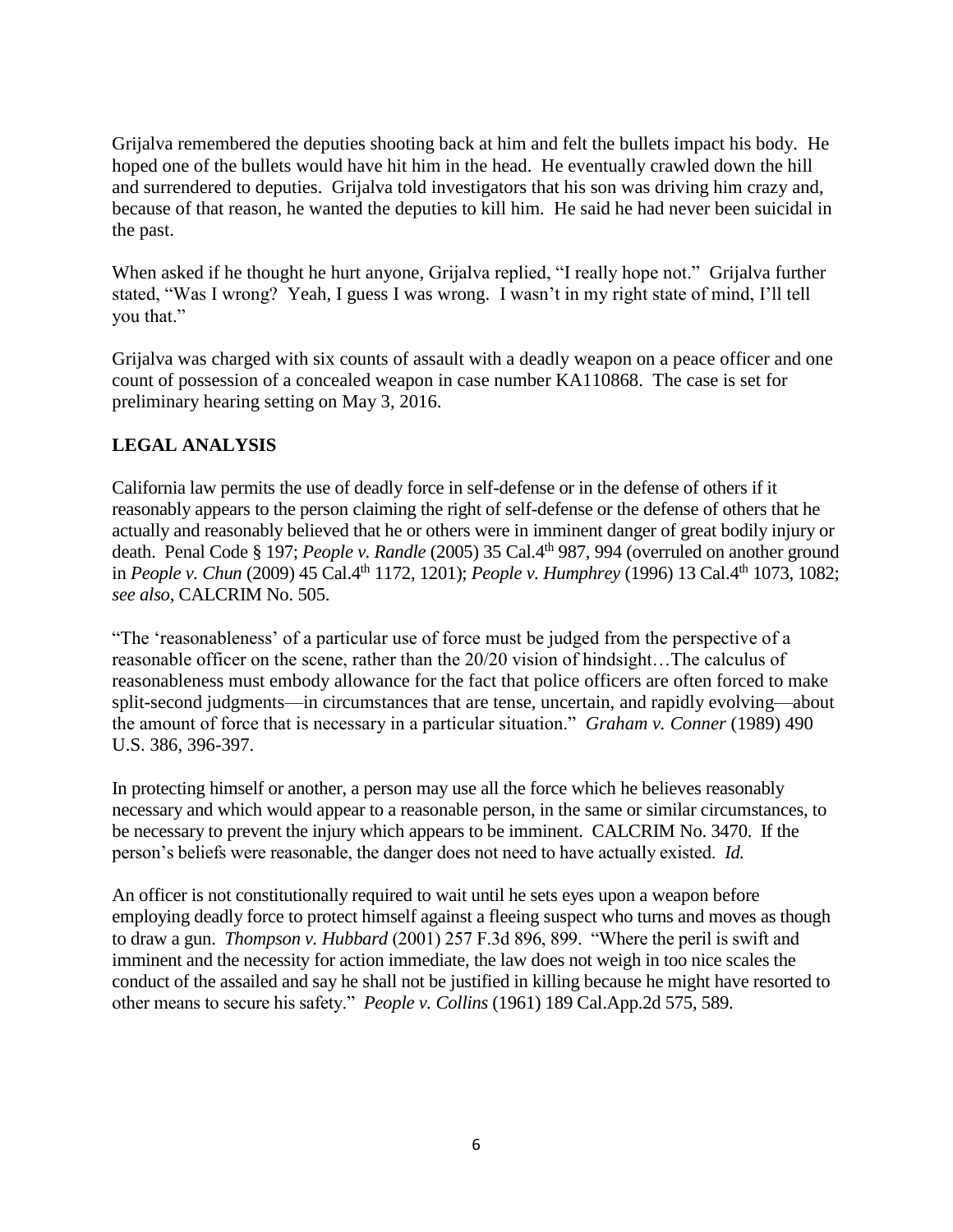Grijalva remembered the deputies shooting back at him and felt the bullets impact his body. He hoped one of the bullets would have hit him in the head. He eventually crawled down the hill and surrendered to deputies. Grijalva told investigators that his son was driving him crazy and, because of that reason, he wanted the deputies to kill him. He said he had never been suicidal in the past.

When asked if he thought he hurt anyone, Grijalva replied, "I really hope not." Grijalva further stated, "Was I wrong? Yeah, I guess I was wrong. I wasn't in my right state of mind, I'll tell you that."

Grijalva was charged with six counts of assault with a deadly weapon on a peace officer and one count of possession of a concealed weapon in case number KA110868. The case is set for preliminary hearing setting on May 3, 2016.

## **LEGAL ANALYSIS**

California law permits the use of deadly force in self-defense or in the defense of others if it reasonably appears to the person claiming the right of self-defense or the defense of others that he actually and reasonably believed that he or others were in imminent danger of great bodily injury or death. Penal Code § 197; *People v. Randle* (2005) 35 Cal.4<sup>th</sup> 987, 994 (overruled on another ground in *People v. Chun* (2009) 45 Cal.4<sup>th</sup> 1172, 1201); *People v. Humphrey* (1996) 13 Cal.4<sup>th</sup> 1073, 1082; *see also,* CALCRIM No. 505.

"The 'reasonableness' of a particular use of force must be judged from the perspective of a reasonable officer on the scene, rather than the 20/20 vision of hindsight…The calculus of reasonableness must embody allowance for the fact that police officers are often forced to make split-second judgments—in circumstances that are tense, uncertain, and rapidly evolving—about the amount of force that is necessary in a particular situation." *Graham v. Conner* (1989) 490 U.S. 386, 396-397.

In protecting himself or another, a person may use all the force which he believes reasonably necessary and which would appear to a reasonable person, in the same or similar circumstances, to be necessary to prevent the injury which appears to be imminent. CALCRIM No. 3470. If the person's beliefs were reasonable, the danger does not need to have actually existed. *Id.*

An officer is not constitutionally required to wait until he sets eyes upon a weapon before employing deadly force to protect himself against a fleeing suspect who turns and moves as though to draw a gun. *Thompson v. Hubbard* (2001) 257 F.3d 896, 899. "Where the peril is swift and imminent and the necessity for action immediate, the law does not weigh in too nice scales the conduct of the assailed and say he shall not be justified in killing because he might have resorted to other means to secure his safety." *People v. Collins* (1961) 189 Cal.App.2d 575, 589.